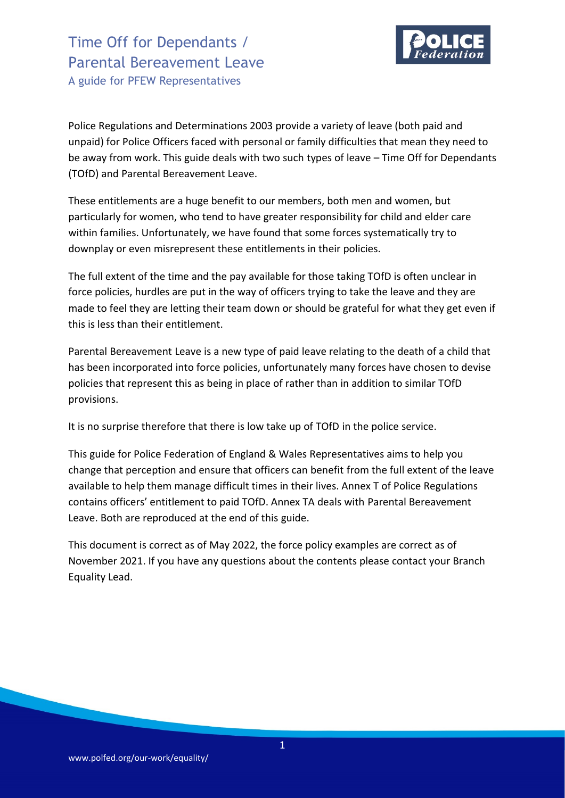

Police Regulations and Determinations 2003 provide a variety of leave (both paid and unpaid) for Police Officers faced with personal or family difficulties that mean they need to be away from work. This guide deals with two such types of leave – Time Off for Dependants (TOfD) and Parental Bereavement Leave.

These entitlements are a huge benefit to our members, both men and women, but particularly for women, who tend to have greater responsibility for child and elder care within families. Unfortunately, we have found that some forces systematically try to downplay or even misrepresent these entitlements in their policies.

The full extent of the time and the pay available for those taking TOfD is often unclear in force policies, hurdles are put in the way of officers trying to take the leave and they are made to feel they are letting their team down or should be grateful for what they get even if this is less than their entitlement.

Parental Bereavement Leave is a new type of paid leave relating to the death of a child that has been incorporated into force policies, unfortunately many forces have chosen to devise policies that represent this as being in place of rather than in addition to similar TOfD provisions.

It is no surprise therefore that there is low take up of TOfD in the police service.

This guide for Police Federation of England & Wales Representatives aims to help you change that perception and ensure that officers can benefit from the full extent of the leave available to help them manage difficult times in their lives. Annex T of Police Regulations contains officers' entitlement to paid TOfD. Annex TA deals with Parental Bereavement Leave. Both are reproduced at the end of this guide.

This document is correct as of May 2022, the force policy examples are correct as of November 2021. If you have any questions about the contents please contact your Branch Equality Lead.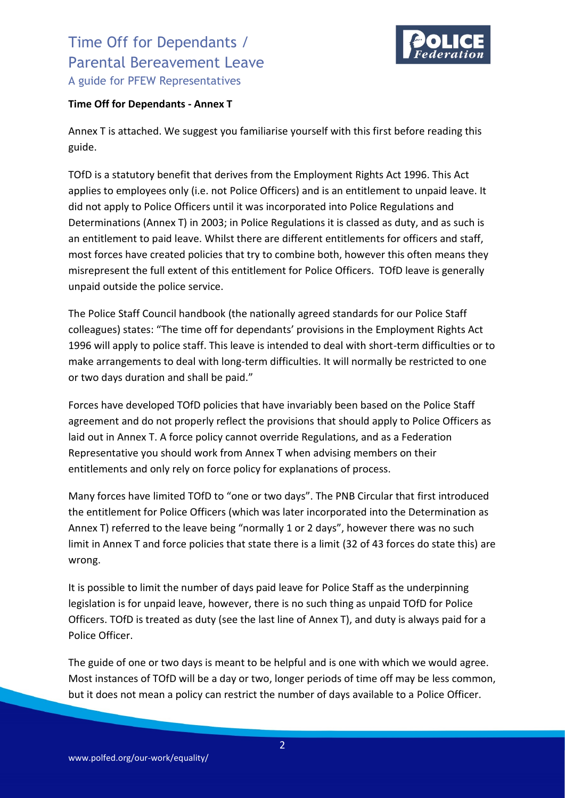

### **Time Off for Dependants - Annex T**

Annex T is attached. We suggest you familiarise yourself with this first before reading this guide.

TOfD is a statutory benefit that derives from the Employment Rights Act 1996. This Act applies to employees only (i.e. not Police Officers) and is an entitlement to unpaid leave. It did not apply to Police Officers until it was incorporated into Police Regulations and Determinations (Annex T) in 2003; in Police Regulations it is classed as duty, and as such is an entitlement to paid leave. Whilst there are different entitlements for officers and staff, most forces have created policies that try to combine both, however this often means they misrepresent the full extent of this entitlement for Police Officers. TOfD leave is generally unpaid outside the police service.

The Police Staff Council handbook (the nationally agreed standards for our Police Staff colleagues) states: "The time off for dependants' provisions in the Employment Rights Act 1996 will apply to police staff. This leave is intended to deal with short-term difficulties or to make arrangements to deal with long-term difficulties. It will normally be restricted to one or two days duration and shall be paid."

Forces have developed TOfD policies that have invariably been based on the Police Staff agreement and do not properly reflect the provisions that should apply to Police Officers as laid out in Annex T. A force policy cannot override Regulations, and as a Federation Representative you should work from Annex T when advising members on their entitlements and only rely on force policy for explanations of process.

Many forces have limited TOfD to "one or two days". The PNB Circular that first introduced the entitlement for Police Officers (which was later incorporated into the Determination as Annex T) referred to the leave being "normally 1 or 2 days", however there was no such limit in Annex T and force policies that state there is a limit (32 of 43 forces do state this) are wrong.

It is possible to limit the number of days paid leave for Police Staff as the underpinning legislation is for unpaid leave, however, there is no such thing as unpaid TOfD for Police Officers. TOfD is treated as duty (see the last line of Annex T), and duty is always paid for a Police Officer.

The guide of one or two days is meant to be helpful and is one with which we would agree. Most instances of TOfD will be a day or two, longer periods of time off may be less common, but it does not mean a policy can restrict the number of days available to a Police Officer.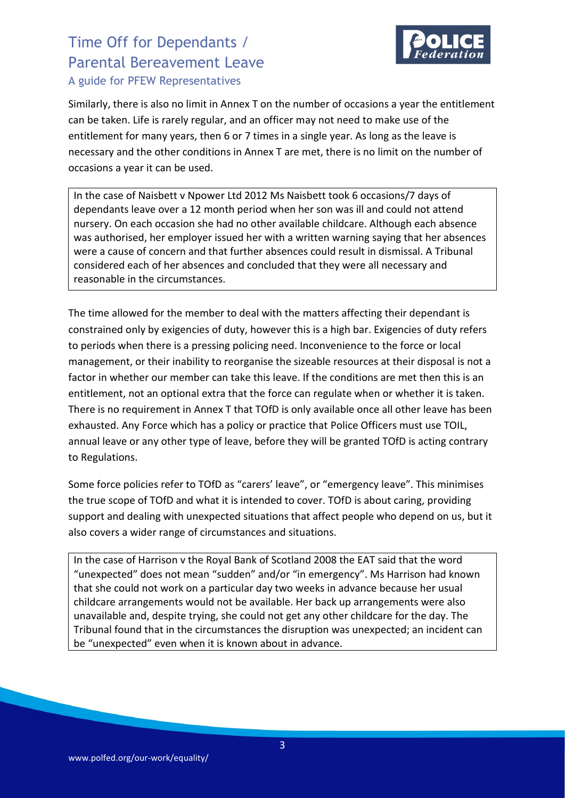

Similarly, there is also no limit in Annex T on the number of occasions a year the entitlement can be taken. Life is rarely regular, and an officer may not need to make use of the entitlement for many years, then 6 or 7 times in a single year. As long as the leave is necessary and the other conditions in Annex T are met, there is no limit on the number of occasions a year it can be used.

In the case of Naisbett v Npower Ltd 2012 Ms Naisbett took 6 occasions/7 days of dependants leave over a 12 month period when her son was ill and could not attend nursery. On each occasion she had no other available childcare. Although each absence was authorised, her employer issued her with a written warning saying that her absences were a cause of concern and that further absences could result in dismissal. A Tribunal considered each of her absences and concluded that they were all necessary and reasonable in the circumstances.

The time allowed for the member to deal with the matters affecting their dependant is constrained only by exigencies of duty, however this is a high bar. Exigencies of duty refers to periods when there is a pressing policing need. Inconvenience to the force or local management, or their inability to reorganise the sizeable resources at their disposal is not a factor in whether our member can take this leave. If the conditions are met then this is an entitlement, not an optional extra that the force can regulate when or whether it is taken. There is no requirement in Annex T that TOfD is only available once all other leave has been exhausted. Any Force which has a policy or practice that Police Officers must use TOIL, annual leave or any other type of leave, before they will be granted TOfD is acting contrary to Regulations.

Some force policies refer to TOfD as "carers' leave", or "emergency leave". This minimises the true scope of TOfD and what it is intended to cover. TOfD is about caring, providing support and dealing with unexpected situations that affect people who depend on us, but it also covers a wider range of circumstances and situations.

In the case of Harrison v the Royal Bank of Scotland 2008 the EAT said that the word "unexpected" does not mean "sudden" and/or "in emergency". Ms Harrison had known that she could not work on a particular day two weeks in advance because her usual childcare arrangements would not be available. Her back up arrangements were also unavailable and, despite trying, she could not get any other childcare for the day. The Tribunal found that in the circumstances the disruption was unexpected; an incident can be "unexpected" even when it is known about in advance.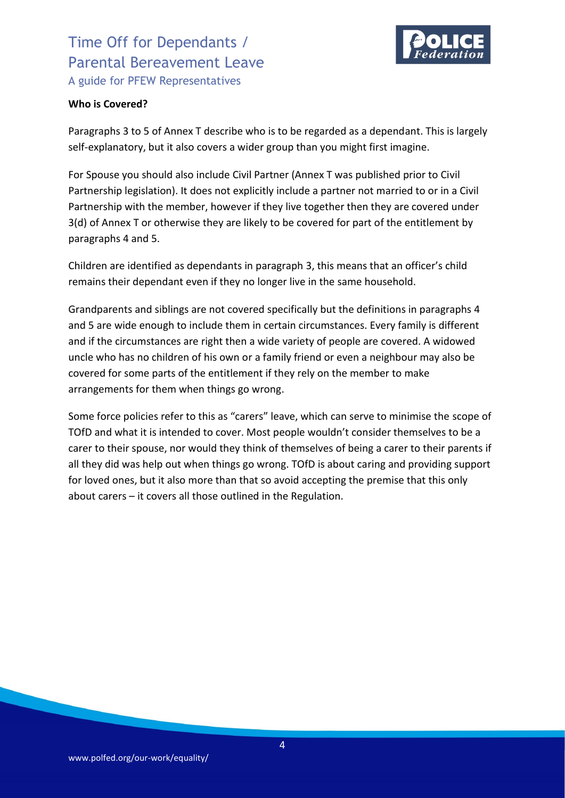

#### **Who is Covered?**

Paragraphs 3 to 5 of Annex T describe who is to be regarded as a dependant. This is largely self-explanatory, but it also covers a wider group than you might first imagine.

For Spouse you should also include Civil Partner (Annex T was published prior to Civil Partnership legislation). It does not explicitly include a partner not married to or in a Civil Partnership with the member, however if they live together then they are covered under 3(d) of Annex T or otherwise they are likely to be covered for part of the entitlement by paragraphs 4 and 5.

Children are identified as dependants in paragraph 3, this means that an officer's child remains their dependant even if they no longer live in the same household.

Grandparents and siblings are not covered specifically but the definitions in paragraphs 4 and 5 are wide enough to include them in certain circumstances. Every family is different and if the circumstances are right then a wide variety of people are covered. A widowed uncle who has no children of his own or a family friend or even a neighbour may also be covered for some parts of the entitlement if they rely on the member to make arrangements for them when things go wrong.

Some force policies refer to this as "carers" leave, which can serve to minimise the scope of TOfD and what it is intended to cover. Most people wouldn't consider themselves to be a carer to their spouse, nor would they think of themselves of being a carer to their parents if all they did was help out when things go wrong. TOfD is about caring and providing support for loved ones, but it also more than that so avoid accepting the premise that this only about carers – it covers all those outlined in the Regulation.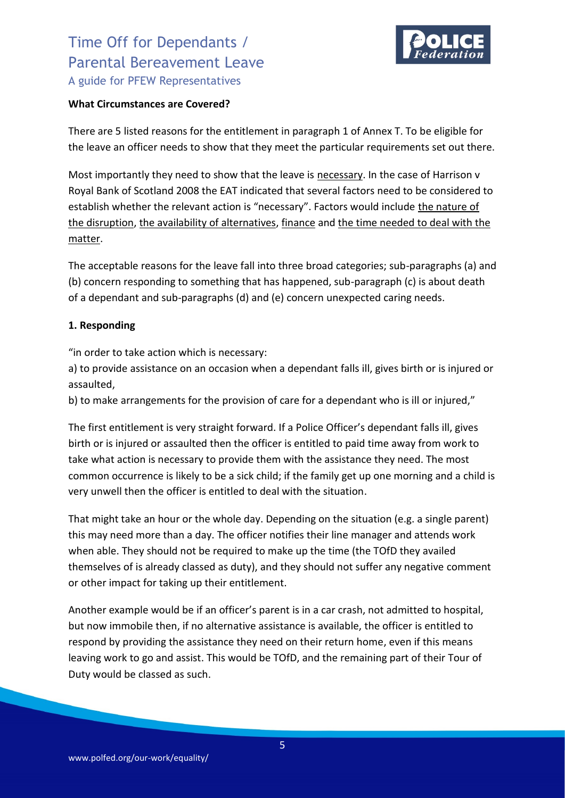

#### **What Circumstances are Covered?**

There are 5 listed reasons for the entitlement in paragraph 1 of Annex T. To be eligible for the leave an officer needs to show that they meet the particular requirements set out there.

Most importantly they need to show that the leave is necessary. In the case of Harrison v Royal Bank of Scotland 2008 the EAT indicated that several factors need to be considered to establish whether the relevant action is "necessary". Factors would include the nature of the disruption, the availability of alternatives, finance and the time needed to deal with the matter.

The acceptable reasons for the leave fall into three broad categories; sub-paragraphs (a) and (b) concern responding to something that has happened, sub-paragraph (c) is about death of a dependant and sub-paragraphs (d) and (e) concern unexpected caring needs.

### **1. Responding**

"in order to take action which is necessary:

a) to provide assistance on an occasion when a dependant falls ill, gives birth or is injured or assaulted,

b) to make arrangements for the provision of care for a dependant who is ill or injured,"

The first entitlement is very straight forward. If a Police Officer's dependant falls ill, gives birth or is injured or assaulted then the officer is entitled to paid time away from work to take what action is necessary to provide them with the assistance they need. The most common occurrence is likely to be a sick child; if the family get up one morning and a child is very unwell then the officer is entitled to deal with the situation.

That might take an hour or the whole day. Depending on the situation (e.g. a single parent) this may need more than a day. The officer notifies their line manager and attends work when able. They should not be required to make up the time (the TOfD they availed themselves of is already classed as duty), and they should not suffer any negative comment or other impact for taking up their entitlement.

Another example would be if an officer's parent is in a car crash, not admitted to hospital, but now immobile then, if no alternative assistance is available, the officer is entitled to respond by providing the assistance they need on their return home, even if this means leaving work to go and assist. This would be TOfD, and the remaining part of their Tour of Duty would be classed as such.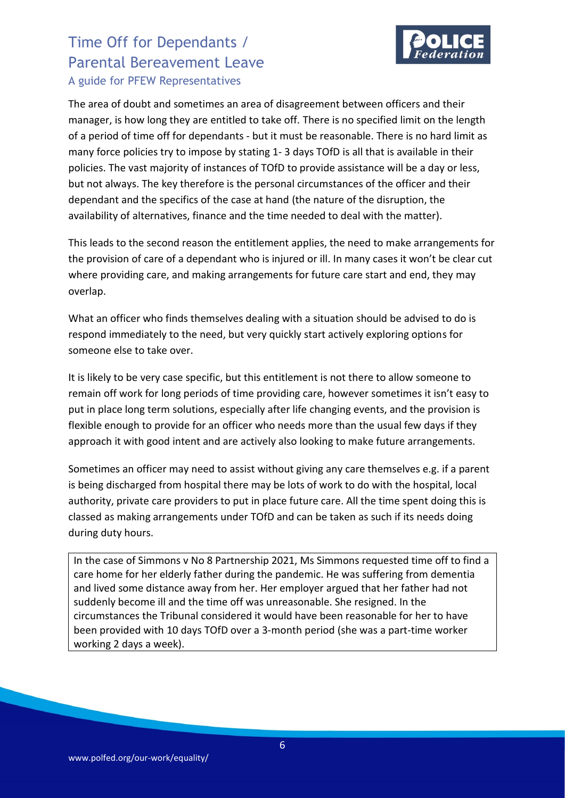

The area of doubt and sometimes an area of disagreement between officers and their manager, is how long they are entitled to take off. There is no specified limit on the length of a period of time off for dependants - but it must be reasonable. There is no hard limit as many force policies try to impose by stating 1- 3 days TOfD is all that is available in their policies. The vast majority of instances of TOfD to provide assistance will be a day or less, but not always. The key therefore is the personal circumstances of the officer and their dependant and the specifics of the case at hand (the nature of the disruption, the availability of alternatives, finance and the time needed to deal with the matter).

This leads to the second reason the entitlement applies, the need to make arrangements for the provision of care of a dependant who is injured or ill. In many cases it won't be clear cut where providing care, and making arrangements for future care start and end, they may overlap.

What an officer who finds themselves dealing with a situation should be advised to do is respond immediately to the need, but very quickly start actively exploring options for someone else to take over.

It is likely to be very case specific, but this entitlement is not there to allow someone to remain off work for long periods of time providing care, however sometimes it isn't easy to put in place long term solutions, especially after life changing events, and the provision is flexible enough to provide for an officer who needs more than the usual few days if they approach it with good intent and are actively also looking to make future arrangements.

Sometimes an officer may need to assist without giving any care themselves e.g. if a parent is being discharged from hospital there may be lots of work to do with the hospital, local authority, private care providers to put in place future care. All the time spent doing this is classed as making arrangements under TOfD and can be taken as such if its needs doing during duty hours.

In the case of Simmons v No 8 Partnership 2021, Ms Simmons requested time off to find a care home for her elderly father during the pandemic. He was suffering from dementia and lived some distance away from her. Her employer argued that her father had not suddenly become ill and the time off was unreasonable. She resigned. In the circumstances the Tribunal considered it would have been reasonable for her to have been provided with 10 days TOfD over a 3-month period (she was a part-time worker working 2 days a week).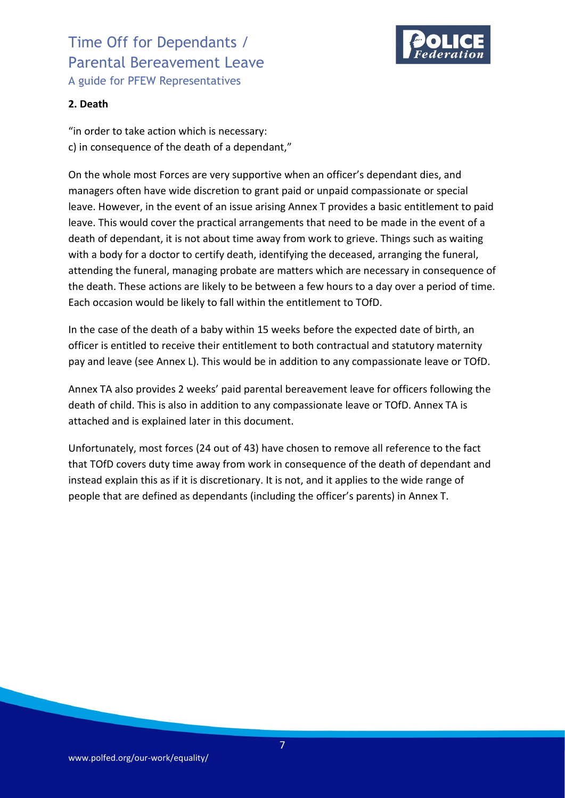

### **2. Death**

"in order to take action which is necessary: c) in consequence of the death of a dependant,"

On the whole most Forces are very supportive when an officer's dependant dies, and managers often have wide discretion to grant paid or unpaid compassionate or special leave. However, in the event of an issue arising Annex T provides a basic entitlement to paid leave. This would cover the practical arrangements that need to be made in the event of a death of dependant, it is not about time away from work to grieve. Things such as waiting with a body for a doctor to certify death, identifying the deceased, arranging the funeral, attending the funeral, managing probate are matters which are necessary in consequence of the death. These actions are likely to be between a few hours to a day over a period of time. Each occasion would be likely to fall within the entitlement to TOfD.

In the case of the death of a baby within 15 weeks before the expected date of birth, an officer is entitled to receive their entitlement to both contractual and statutory maternity pay and leave (see Annex L). This would be in addition to any compassionate leave or TOfD.

Annex TA also provides 2 weeks' paid parental bereavement leave for officers following the death of child. This is also in addition to any compassionate leave or TOfD. Annex TA is attached and is explained later in this document.

Unfortunately, most forces (24 out of 43) have chosen to remove all reference to the fact that TOfD covers duty time away from work in consequence of the death of dependant and instead explain this as if it is discretionary. It is not, and it applies to the wide range of people that are defined as dependants (including the officer's parents) in Annex T.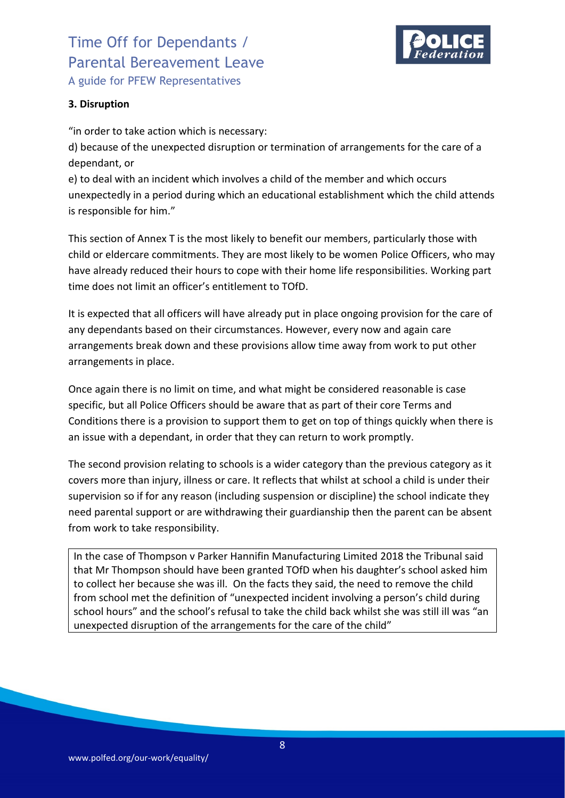

### **3. Disruption**

"in order to take action which is necessary:

d) because of the unexpected disruption or termination of arrangements for the care of a dependant, or

e) to deal with an incident which involves a child of the member and which occurs unexpectedly in a period during which an educational establishment which the child attends is responsible for him."

This section of Annex T is the most likely to benefit our members, particularly those with child or eldercare commitments. They are most likely to be women Police Officers, who may have already reduced their hours to cope with their home life responsibilities. Working part time does not limit an officer's entitlement to TOfD.

It is expected that all officers will have already put in place ongoing provision for the care of any dependants based on their circumstances. However, every now and again care arrangements break down and these provisions allow time away from work to put other arrangements in place.

Once again there is no limit on time, and what might be considered reasonable is case specific, but all Police Officers should be aware that as part of their core Terms and Conditions there is a provision to support them to get on top of things quickly when there is an issue with a dependant, in order that they can return to work promptly.

The second provision relating to schools is a wider category than the previous category as it covers more than injury, illness or care. It reflects that whilst at school a child is under their supervision so if for any reason (including suspension or discipline) the school indicate they need parental support or are withdrawing their guardianship then the parent can be absent from work to take responsibility.

In the case of Thompson v Parker Hannifin Manufacturing Limited 2018 the Tribunal said that Mr Thompson should have been granted TOfD when his daughter's school asked him to collect her because she was ill. On the facts they said, the need to remove the child from school met the definition of "unexpected incident involving a person's child during school hours" and the school's refusal to take the child back whilst she was still ill was "an unexpected disruption of the arrangements for the care of the child"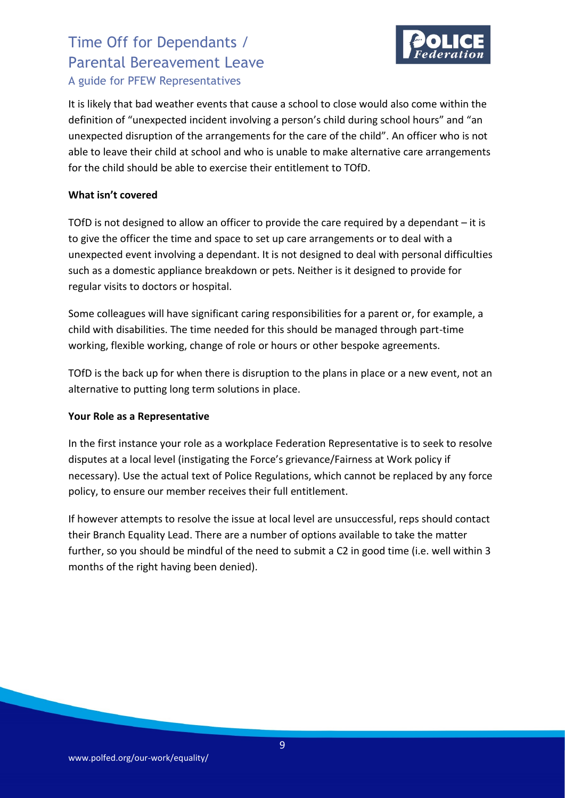

It is likely that bad weather events that cause a school to close would also come within the definition of "unexpected incident involving a person's child during school hours" and "an unexpected disruption of the arrangements for the care of the child". An officer who is not able to leave their child at school and who is unable to make alternative care arrangements for the child should be able to exercise their entitlement to TOfD.

### **What isn't covered**

TOfD is not designed to allow an officer to provide the care required by a dependant – it is to give the officer the time and space to set up care arrangements or to deal with a unexpected event involving a dependant. It is not designed to deal with personal difficulties such as a domestic appliance breakdown or pets. Neither is it designed to provide for regular visits to doctors or hospital.

Some colleagues will have significant caring responsibilities for a parent or, for example, a child with disabilities. The time needed for this should be managed through part-time working, flexible working, change of role or hours or other bespoke agreements.

TOfD is the back up for when there is disruption to the plans in place or a new event, not an alternative to putting long term solutions in place.

### **Your Role as a Representative**

In the first instance your role as a workplace Federation Representative is to seek to resolve disputes at a local level (instigating the Force's grievance/Fairness at Work policy if necessary). Use the actual text of Police Regulations, which cannot be replaced by any force policy, to ensure our member receives their full entitlement.

If however attempts to resolve the issue at local level are unsuccessful, reps should contact their Branch Equality Lead. There are a number of options available to take the matter further, so you should be mindful of the need to submit a C2 in good time (i.e. well within 3 months of the right having been denied).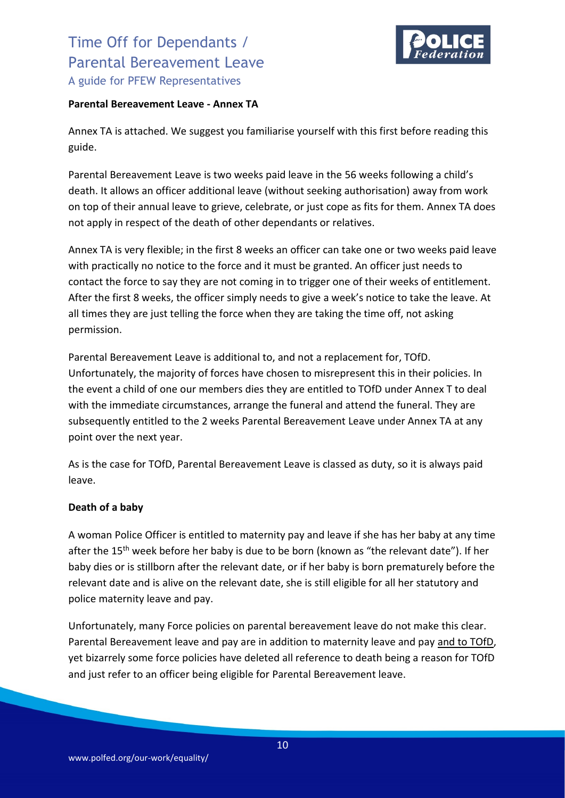

#### **Parental Bereavement Leave - Annex TA**

Annex TA is attached. We suggest you familiarise yourself with this first before reading this guide.

Parental Bereavement Leave is two weeks paid leave in the 56 weeks following a child's death. It allows an officer additional leave (without seeking authorisation) away from work on top of their annual leave to grieve, celebrate, or just cope as fits for them. Annex TA does not apply in respect of the death of other dependants or relatives.

Annex TA is very flexible; in the first 8 weeks an officer can take one or two weeks paid leave with practically no notice to the force and it must be granted. An officer just needs to contact the force to say they are not coming in to trigger one of their weeks of entitlement. After the first 8 weeks, the officer simply needs to give a week's notice to take the leave. At all times they are just telling the force when they are taking the time off, not asking permission.

Parental Bereavement Leave is additional to, and not a replacement for, TOfD. Unfortunately, the majority of forces have chosen to misrepresent this in their policies. In the event a child of one our members dies they are entitled to TOfD under Annex T to deal with the immediate circumstances, arrange the funeral and attend the funeral. They are subsequently entitled to the 2 weeks Parental Bereavement Leave under Annex TA at any point over the next year.

As is the case for TOfD, Parental Bereavement Leave is classed as duty, so it is always paid leave.

### **Death of a baby**

A woman Police Officer is entitled to maternity pay and leave if she has her baby at any time after the 15<sup>th</sup> week before her baby is due to be born (known as "the relevant date"). If her baby dies or is stillborn after the relevant date, or if her baby is born prematurely before the relevant date and is alive on the relevant date, she is still eligible for all her statutory and police maternity leave and pay.

Unfortunately, many Force policies on parental bereavement leave do not make this clear. Parental Bereavement leave and pay are in addition to maternity leave and pay and to TOfD, yet bizarrely some force policies have deleted all reference to death being a reason for TOfD and just refer to an officer being eligible for Parental Bereavement leave.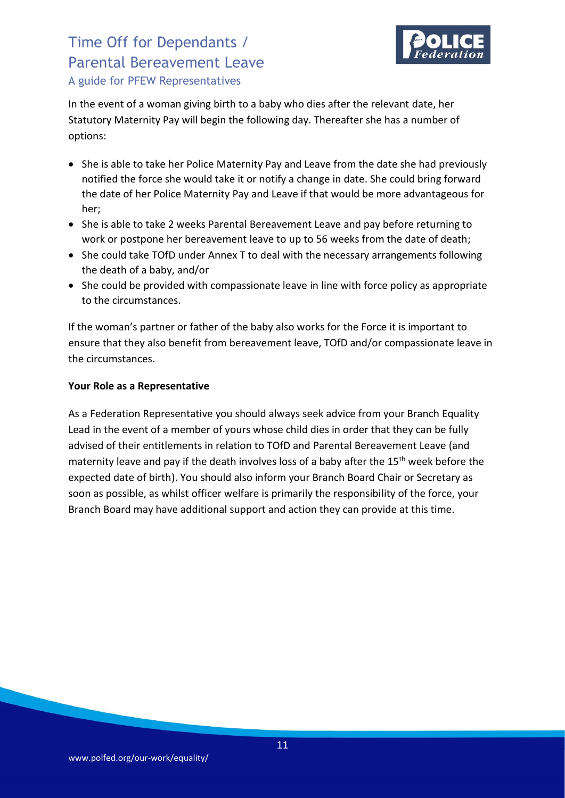

In the event of a woman giving birth to a baby who dies after the relevant date, her Statutory Maternity Pay will begin the following day. Thereafter she has a number of options:

- She is able to take her Police Maternity Pay and Leave from the date she had previously notified the force she would take it or notify a change in date. She could bring forward the date of her Police Maternity Pay and Leave if that would be more advantageous for her;
- She is able to take 2 weeks Parental Bereavement Leave and pay before returning to work or postpone her bereavement leave to up to 56 weeks from the date of death;
- She could take TOfD under Annex T to deal with the necessary arrangements following the death of a baby, and/or
- She could be provided with compassionate leave in line with force policy as appropriate to the circumstances.

If the woman's partner or father of the baby also works for the Force it is important to ensure that they also benefit from bereavement leave, TOfD and/or compassionate leave in the circumstances.

### **Your Role as a Representative**

As a Federation Representative you should always seek advice from your Branch Equality Lead in the event of a member of yours whose child dies in order that they can be fully advised of their entitlements in relation to TOfD and Parental Bereavement Leave (and maternity leave and pay if the death involves loss of a baby after the 15<sup>th</sup> week before the expected date of birth). You should also inform your Branch Board Chair or Secretary as soon as possible, as whilst officer welfare is primarily the responsibility of the force, your Branch Board may have additional support and action they can provide at this time.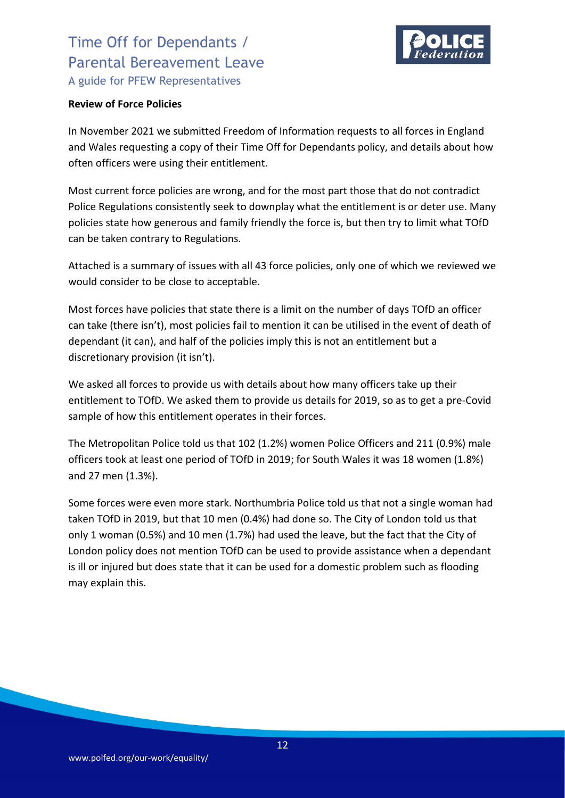

#### **Review of Force Policies**

In November 2021 we submitted Freedom of Information requests to all forces in England and Wales requesting a copy of their Time Off for Dependants policy, and details about how often officers were using their entitlement.

Most current force policies are wrong, and for the most part those that do not contradict Police Regulations consistently seek to downplay what the entitlement is or deter use. Many policies state how generous and family friendly the force is, but then try to limit what TOfD can be taken contrary to Regulations.

Attached is a summary of issues with all 43 force policies, only one of which we reviewed we would consider to be close to acceptable.

Most forces have policies that state there is a limit on the number of days TOfD an officer can take (there isn't), most policies fail to mention it can be utilised in the event of death of dependant (it can), and half of the policies imply this is not an entitlement but a discretionary provision (it isn't).

We asked all forces to provide us with details about how many officers take up their entitlement to TOfD. We asked them to provide us details for 2019, so as to get a pre-Covid sample of how this entitlement operates in their forces.

The Metropolitan Police told us that 102 (1.2%) women Police Officers and 211 (0.9%) male officers took at least one period of TOfD in 2019; for South Wales it was 18 women (1.8%) and 27 men (1.3%).

Some forces were even more stark. Northumbria Police told us that not a single woman had taken TOfD in 2019, but that 10 men (0.4%) had done so. The City of London told us that only 1 woman (0.5%) and 10 men (1.7%) had used the leave, but the fact that the City of London policy does not mention TOfD can be used to provide assistance when a dependant is ill or injured but does state that it can be used for a domestic problem such as flooding may explain this.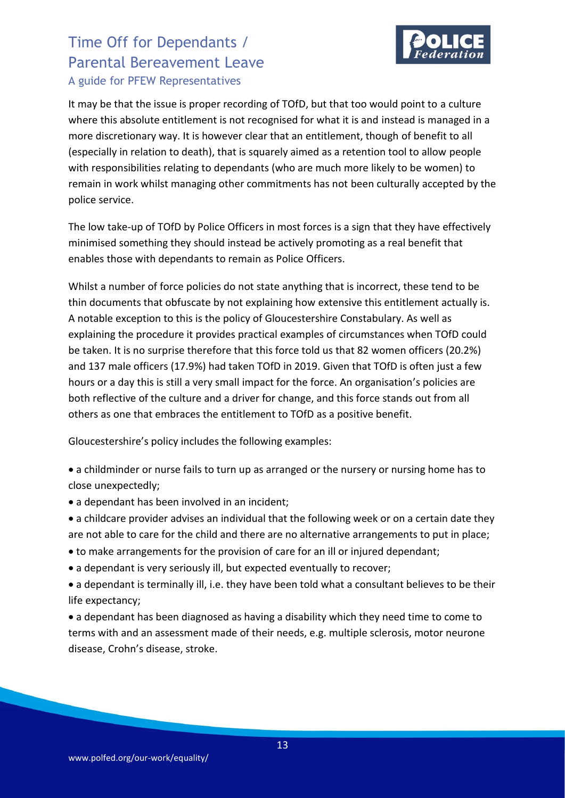

It may be that the issue is proper recording of TOfD, but that too would point to a culture where this absolute entitlement is not recognised for what it is and instead is managed in a more discretionary way. It is however clear that an entitlement, though of benefit to all (especially in relation to death), that is squarely aimed as a retention tool to allow people with responsibilities relating to dependants (who are much more likely to be women) to remain in work whilst managing other commitments has not been culturally accepted by the police service.

The low take-up of TOfD by Police Officers in most forces is a sign that they have effectively minimised something they should instead be actively promoting as a real benefit that enables those with dependants to remain as Police Officers.

Whilst a number of force policies do not state anything that is incorrect, these tend to be thin documents that obfuscate by not explaining how extensive this entitlement actually is. A notable exception to this is the policy of Gloucestershire Constabulary. As well as explaining the procedure it provides practical examples of circumstances when TOfD could be taken. It is no surprise therefore that this force told us that 82 women officers (20.2%) and 137 male officers (17.9%) had taken TOfD in 2019. Given that TOfD is often just a few hours or a day this is still a very small impact for the force. An organisation's policies are both reflective of the culture and a driver for change, and this force stands out from all others as one that embraces the entitlement to TOfD as a positive benefit.

Gloucestershire's policy includes the following examples:

• a childminder or nurse fails to turn up as arranged or the nursery or nursing home has to close unexpectedly;

- a dependant has been involved in an incident;
- a childcare provider advises an individual that the following week or on a certain date they are not able to care for the child and there are no alternative arrangements to put in place;
- to make arrangements for the provision of care for an ill or injured dependant;
- a dependant is very seriously ill, but expected eventually to recover;
- a dependant is terminally ill, i.e. they have been told what a consultant believes to be their life expectancy;

• a dependant has been diagnosed as having a disability which they need time to come to terms with and an assessment made of their needs, e.g. multiple sclerosis, motor neurone disease, Crohn's disease, stroke.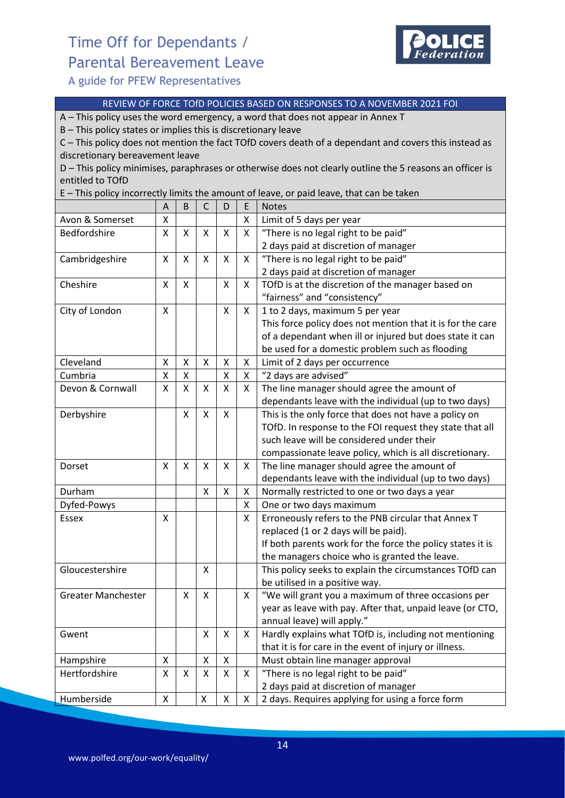# Time Off for Dependants / Parental Bereavement Leave



A guide for PFEW Representatives

#### REVIEW OF FORCE TOfD POLICIES BASED ON RESPONSES TO A NOVEMBER 2021 FOI

A – This policy uses the word emergency, a word that does not appear in Annex T

B – This policy states or implies this is discretionary leave

C – This policy does not mention the fact TOfD covers death of a dependant and covers this instead as discretionary bereavement leave

D – This policy minimises, paraphrases or otherwise does not clearly outline the 5 reasons an officer is entitled to TOfD

E – This policy incorrectly limits the amount of leave, or paid leave, that can be taken

|                           | A | B                  | $\mathsf{C}$ | D                  | E            | <b>Notes</b>                                               |
|---------------------------|---|--------------------|--------------|--------------------|--------------|------------------------------------------------------------|
| Avon & Somerset           | X |                    |              |                    | x            | Limit of 5 days per year                                   |
| Bedfordshire              | X | X                  | X            | X                  | X            | "There is no legal right to be paid"                       |
|                           |   |                    |              |                    |              | 2 days paid at discretion of manager                       |
| Cambridgeshire            | X | X                  | Χ            | X                  | X            | "There is no legal right to be paid"                       |
|                           |   |                    |              |                    |              | 2 days paid at discretion of manager                       |
| Cheshire                  | X | X                  |              | X                  | X            | TOfD is at the discretion of the manager based on          |
|                           |   |                    |              |                    |              | "fairness" and "consistency"                               |
| City of London            | X |                    |              | X                  | X            | 1 to 2 days, maximum 5 per year                            |
|                           |   |                    |              |                    |              | This force policy does not mention that it is for the care |
|                           |   |                    |              |                    |              | of a dependant when ill or injured but does state it can   |
|                           |   |                    |              |                    |              | be used for a domestic problem such as flooding            |
| Cleveland                 | X | X                  | Χ            | Χ                  | X            | Limit of 2 days per occurrence                             |
| Cumbria                   | X | $\pmb{\mathsf{X}}$ |              | $\pmb{\mathsf{X}}$ | X            | "2 days are advised"                                       |
| Devon & Cornwall          | X | X                  | X            | X                  | X            | The line manager should agree the amount of                |
|                           |   |                    |              |                    |              | dependants leave with the individual (up to two days)      |
| Derbyshire                |   | X                  | X            | X                  |              | This is the only force that does not have a policy on      |
|                           |   |                    |              |                    |              | TOfD. In response to the FOI request they state that all   |
|                           |   |                    |              |                    |              | such leave will be considered under their                  |
|                           |   |                    |              |                    |              | compassionate leave policy, which is all discretionary.    |
| Dorset                    | X | X                  | Χ            | X                  | X            | The line manager should agree the amount of                |
|                           |   |                    |              |                    |              | dependants leave with the individual (up to two days)      |
| Durham                    |   |                    | Χ            | X                  | X            | Normally restricted to one or two days a year              |
| Dyfed-Powys               |   |                    |              |                    | X            | One or two days maximum                                    |
| Essex                     | X |                    |              |                    | X            | Erroneously refers to the PNB circular that Annex T        |
|                           |   |                    |              |                    |              | replaced (1 or 2 days will be paid).                       |
|                           |   |                    |              |                    |              | If both parents work for the force the policy states it is |
|                           |   |                    |              |                    |              | the managers choice who is granted the leave.              |
| Gloucestershire           |   |                    | Χ            |                    |              | This policy seeks to explain the circumstances TOfD can    |
|                           |   |                    |              |                    |              | be utilised in a positive way.                             |
| <b>Greater Manchester</b> |   | x                  | X            |                    | X            | "We will grant you a maximum of three occasions per        |
|                           |   |                    |              |                    |              | year as leave with pay. After that, unpaid leave (or CTO,  |
|                           |   |                    |              |                    |              | annual leave) will apply."                                 |
| Gwent                     |   |                    | Χ            | X                  | X            | Hardly explains what TOfD is, including not mentioning     |
|                           |   |                    |              |                    |              | that it is for care in the event of injury or illness.     |
| Hampshire                 | X |                    | Χ            | X                  |              | Must obtain line manager approval                          |
| Hertfordshire             | X | X                  | X            | X                  | X            | "There is no legal right to be paid"                       |
|                           |   |                    |              |                    |              | 2 days paid at discretion of manager                       |
| Humberside                | X |                    | X            | X                  | $\mathsf{X}$ | 2 days. Requires applying for using a force form           |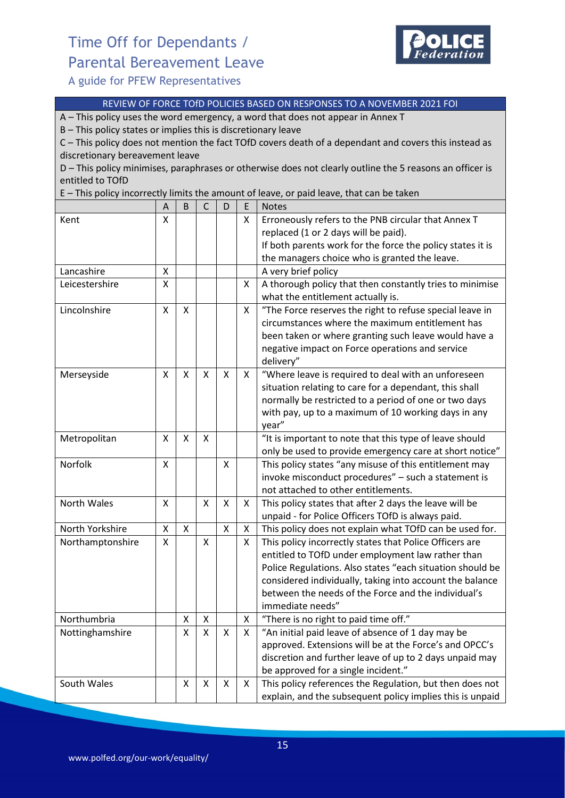# Time Off for Dependants / Parental Bereavement Leave



A guide for PFEW Representatives

#### REVIEW OF FORCE TOfD POLICIES BASED ON RESPONSES TO A NOVEMBER 2021 FOI

A – This policy uses the word emergency, a word that does not appear in Annex T

B – This policy states or implies this is discretionary leave

C – This policy does not mention the fact TOfD covers death of a dependant and covers this instead as discretionary bereavement leave

D – This policy minimises, paraphrases or otherwise does not clearly outline the 5 reasons an officer is entitled to TOfD

E – This policy incorrectly limits the amount of leave, or paid leave, that can be taken

|                  | A | B | $\mathsf{C}$ | D            | E | <b>Notes</b>                                               |
|------------------|---|---|--------------|--------------|---|------------------------------------------------------------|
| Kent             | Χ |   |              |              | X | Erroneously refers to the PNB circular that Annex T        |
|                  |   |   |              |              |   | replaced (1 or 2 days will be paid).                       |
|                  |   |   |              |              |   | If both parents work for the force the policy states it is |
|                  |   |   |              |              |   | the managers choice who is granted the leave.              |
| Lancashire       | X |   |              |              |   | A very brief policy                                        |
| Leicestershire   | X |   |              |              | X | A thorough policy that then constantly tries to minimise   |
|                  |   |   |              |              |   | what the entitlement actually is.                          |
| Lincolnshire     | X | X |              |              | X | "The Force reserves the right to refuse special leave in   |
|                  |   |   |              |              |   | circumstances where the maximum entitlement has            |
|                  |   |   |              |              |   | been taken or where granting such leave would have a       |
|                  |   |   |              |              |   | negative impact on Force operations and service            |
|                  |   |   |              |              |   | delivery"                                                  |
| Merseyside       | X | X | X            | Χ            | X | "Where leave is required to deal with an unforeseen        |
|                  |   |   |              |              |   | situation relating to care for a dependant, this shall     |
|                  |   |   |              |              |   | normally be restricted to a period of one or two days      |
|                  |   |   |              |              |   | with pay, up to a maximum of 10 working days in any        |
|                  |   |   |              |              |   | year"                                                      |
| Metropolitan     | X | X | X            |              |   | "It is important to note that this type of leave should    |
|                  |   |   |              |              |   | only be used to provide emergency care at short notice"    |
| Norfolk          | X |   |              | X            |   | This policy states "any misuse of this entitlement may     |
|                  |   |   |              |              |   | invoke misconduct procedures" - such a statement is        |
|                  |   |   |              |              |   | not attached to other entitlements.                        |
| North Wales      | X |   | X            | $\mathsf{X}$ | X | This policy states that after 2 days the leave will be     |
|                  |   |   |              |              |   | unpaid - for Police Officers TOfD is always paid.          |
| North Yorkshire  | X | X |              | X            | X | This policy does not explain what TOfD can be used for.    |
| Northamptonshire | X |   | X            |              | X | This policy incorrectly states that Police Officers are    |
|                  |   |   |              |              |   | entitled to TOfD under employment law rather than          |
|                  |   |   |              |              |   | Police Regulations. Also states "each situation should be  |
|                  |   |   |              |              |   | considered individually, taking into account the balance   |
|                  |   |   |              |              |   | between the needs of the Force and the individual's        |
|                  |   |   |              |              |   | immediate needs"                                           |
| Northumbria      |   | Χ | X            |              | X | "There is no right to paid time off."                      |
| Nottinghamshire  |   | x | X            | X            | X | "An initial paid leave of absence of 1 day may be          |
|                  |   |   |              |              |   | approved. Extensions will be at the Force's and OPCC's     |
|                  |   |   |              |              |   | discretion and further leave of up to 2 days unpaid may    |
|                  |   |   |              |              |   | be approved for a single incident."                        |
| South Wales      |   | X | X            | X            | X | This policy references the Regulation, but then does not   |
|                  |   |   |              |              |   | explain, and the subsequent policy implies this is unpaid  |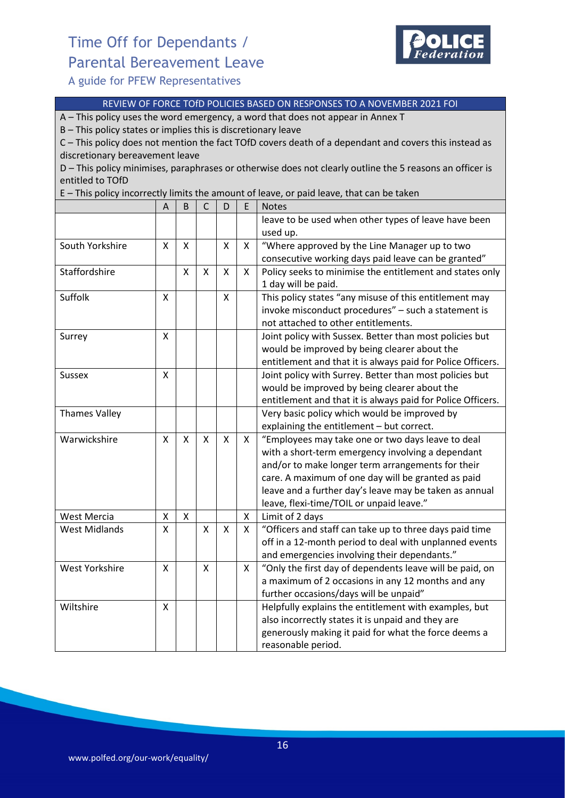# Time Off for Dependants / Parental Bereavement Leave



A guide for PFEW Representatives

#### REVIEW OF FORCE TOfD POLICIES BASED ON RESPONSES TO A NOVEMBER 2021 FOI

A – This policy uses the word emergency, a word that does not appear in Annex T

B – This policy states or implies this is discretionary leave

C – This policy does not mention the fact TOfD covers death of a dependant and covers this instead as discretionary bereavement leave

D – This policy minimises, paraphrases or otherwise does not clearly outline the 5 reasons an officer is entitled to TOfD

E – This policy incorrectly limits the amount of leave, or paid leave, that can be taken

|                       | A | B                         | $\mathsf{C}$ | D            | E | <b>Notes</b>                                                |
|-----------------------|---|---------------------------|--------------|--------------|---|-------------------------------------------------------------|
|                       |   |                           |              |              |   | leave to be used when other types of leave have been        |
|                       |   |                           |              |              |   | used up.                                                    |
| South Yorkshire       | X | $\boldsymbol{\mathsf{X}}$ |              | X            | X | "Where approved by the Line Manager up to two               |
|                       |   |                           |              |              |   | consecutive working days paid leave can be granted"         |
| Staffordshire         |   | X                         | X            | X            | X | Policy seeks to minimise the entitlement and states only    |
|                       |   |                           |              |              |   | 1 day will be paid.                                         |
| Suffolk               | X |                           |              | X            |   | This policy states "any misuse of this entitlement may      |
|                       |   |                           |              |              |   | invoke misconduct procedures" - such a statement is         |
|                       |   |                           |              |              |   | not attached to other entitlements.                         |
| Surrey                | X |                           |              |              |   | Joint policy with Sussex. Better than most policies but     |
|                       |   |                           |              |              |   | would be improved by being clearer about the                |
|                       |   |                           |              |              |   | entitlement and that it is always paid for Police Officers. |
| <b>Sussex</b>         | X |                           |              |              |   | Joint policy with Surrey. Better than most policies but     |
|                       |   |                           |              |              |   | would be improved by being clearer about the                |
|                       |   |                           |              |              |   | entitlement and that it is always paid for Police Officers. |
| <b>Thames Valley</b>  |   |                           |              |              |   | Very basic policy which would be improved by                |
|                       |   |                           |              |              |   | explaining the entitlement - but correct.                   |
| Warwickshire          | X | $\mathsf{x}$              | X            | $\mathsf{x}$ | X | "Employees may take one or two days leave to deal           |
|                       |   |                           |              |              |   | with a short-term emergency involving a dependant           |
|                       |   |                           |              |              |   | and/or to make longer term arrangements for their           |
|                       |   |                           |              |              |   | care. A maximum of one day will be granted as paid          |
|                       |   |                           |              |              |   | leave and a further day's leave may be taken as annual      |
|                       |   |                           |              |              |   | leave, flexi-time/TOIL or unpaid leave."                    |
| <b>West Mercia</b>    | X | X                         |              |              | X | Limit of 2 days                                             |
| <b>West Midlands</b>  | X |                           | X            | X            | X | "Officers and staff can take up to three days paid time     |
|                       |   |                           |              |              |   | off in a 12-month period to deal with unplanned events      |
|                       |   |                           |              |              |   | and emergencies involving their dependants."                |
| <b>West Yorkshire</b> | X |                           | X            |              | X | "Only the first day of dependents leave will be paid, on    |
|                       |   |                           |              |              |   | a maximum of 2 occasions in any 12 months and any           |
|                       |   |                           |              |              |   | further occasions/days will be unpaid"                      |
| Wiltshire             | X |                           |              |              |   | Helpfully explains the entitlement with examples, but       |
|                       |   |                           |              |              |   | also incorrectly states it is unpaid and they are           |
|                       |   |                           |              |              |   | generously making it paid for what the force deems a        |
|                       |   |                           |              |              |   | reasonable period.                                          |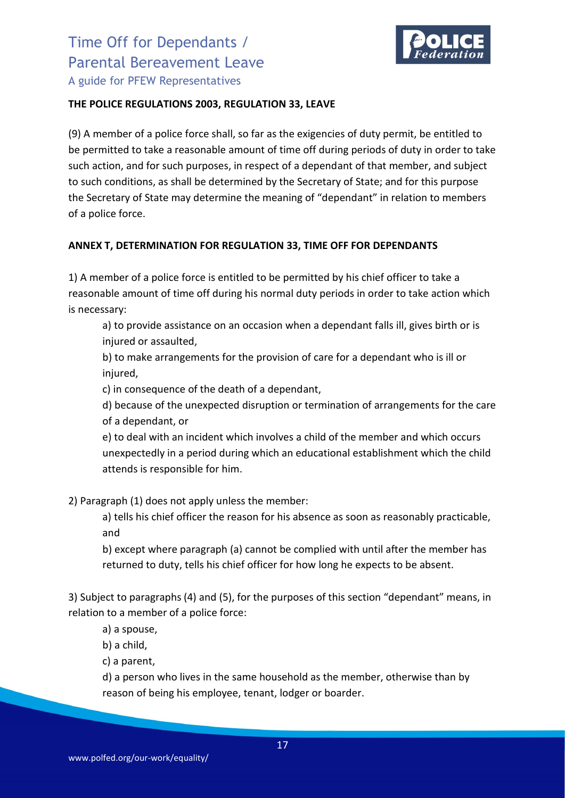

#### **THE POLICE REGULATIONS 2003, REGULATION 33, LEAVE**

(9) A member of a police force shall, so far as the exigencies of duty permit, be entitled to be permitted to take a reasonable amount of time off during periods of duty in order to take such action, and for such purposes, in respect of a dependant of that member, and subject to such conditions, as shall be determined by the Secretary of State; and for this purpose the Secretary of State may determine the meaning of "dependant" in relation to members of a police force.

### **ANNEX T, DETERMINATION FOR REGULATION 33, TIME OFF FOR DEPENDANTS**

1) A member of a police force is entitled to be permitted by his chief officer to take a reasonable amount of time off during his normal duty periods in order to take action which is necessary:

a) to provide assistance on an occasion when a dependant falls ill, gives birth or is injured or assaulted,

b) to make arrangements for the provision of care for a dependant who is ill or injured,

c) in consequence of the death of a dependant,

d) because of the unexpected disruption or termination of arrangements for the care of a dependant, or

e) to deal with an incident which involves a child of the member and which occurs unexpectedly in a period during which an educational establishment which the child attends is responsible for him.

2) Paragraph (1) does not apply unless the member:

a) tells his chief officer the reason for his absence as soon as reasonably practicable, and

b) except where paragraph (a) cannot be complied with until after the member has returned to duty, tells his chief officer for how long he expects to be absent.

3) Subject to paragraphs (4) and (5), for the purposes of this section "dependant" means, in relation to a member of a police force:

a) a spouse,

b) a child,

c) a parent,

d) a person who lives in the same household as the member, otherwise than by reason of being his employee, tenant, lodger or boarder.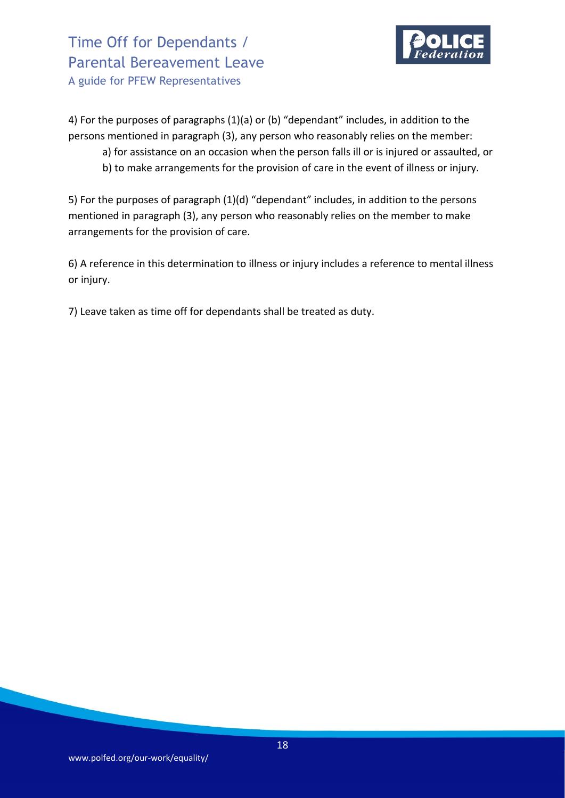

4) For the purposes of paragraphs (1)(a) or (b) "dependant" includes, in addition to the persons mentioned in paragraph (3), any person who reasonably relies on the member:

- a) for assistance on an occasion when the person falls ill or is injured or assaulted, or
- b) to make arrangements for the provision of care in the event of illness or injury.

5) For the purposes of paragraph (1)(d) "dependant" includes, in addition to the persons mentioned in paragraph (3), any person who reasonably relies on the member to make arrangements for the provision of care.

6) A reference in this determination to illness or injury includes a reference to mental illness or injury.

7) Leave taken as time off for dependants shall be treated as duty.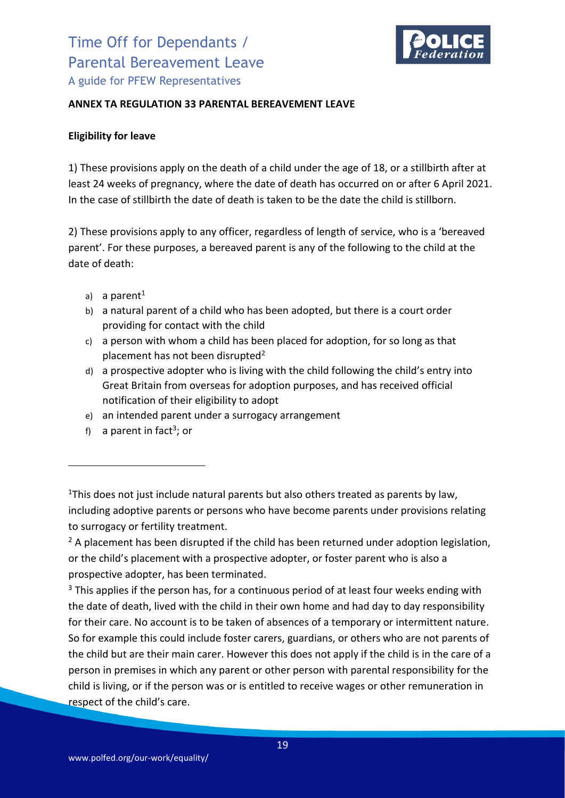

#### **ANNEX TA REGULATION 33 PARENTAL BEREAVEMENT LEAVE**

#### **Eligibility for leave**

1) These provisions apply on the death of a child under the age of 18, or a stillbirth after at least 24 weeks of pregnancy, where the date of death has occurred on or after 6 April 2021. In the case of stillbirth the date of death is taken to be the date the child is stillborn.

2) These provisions apply to any officer, regardless of length of service, who is a 'bereaved parent'. For these purposes, a bereaved parent is any of the following to the child at the date of death:

- a) a parent<sup>1</sup>
- b) a natural parent of a child who has been adopted, but there is a court order providing for contact with the child
- c) a person with whom a child has been placed for adoption, for so long as that placement has not been disrupted<sup>2</sup>
- d) a prospective adopter who is living with the child following the child's entry into Great Britain from overseas for adoption purposes, and has received official notification of their eligibility to adopt
- e) an intended parent under a surrogacy arrangement
- f) a parent in fact<sup>3</sup>; or

 $<sup>2</sup>$  A placement has been disrupted if the child has been returned under adoption legislation,</sup> or the child's placement with a prospective adopter, or foster parent who is also a prospective adopter, has been terminated.

<sup>3</sup> This applies if the person has, for a continuous period of at least four weeks ending with the date of death, lived with the child in their own home and had day to day responsibility for their care. No account is to be taken of absences of a temporary or intermittent nature. So for example this could include foster carers, guardians, or others who are not parents of the child but are their main carer. However this does not apply if the child is in the care of a person in premises in which any parent or other person with parental responsibility for the child is living, or if the person was or is entitled to receive wages or other remuneration in respect of the child's care.

<sup>&</sup>lt;sup>1</sup>This does not just include natural parents but also others treated as parents by law, including adoptive parents or persons who have become parents under provisions relating to surrogacy or fertility treatment.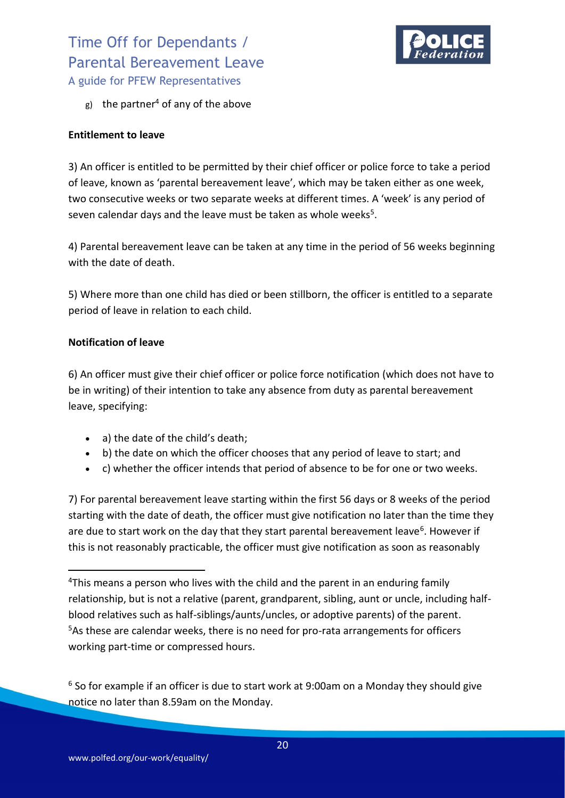

g) the partner<sup>4</sup> of any of the above

#### **Entitlement to leave**

3) An officer is entitled to be permitted by their chief officer or police force to take a period of leave, known as 'parental bereavement leave', which may be taken either as one week, two consecutive weeks or two separate weeks at different times. A 'week' is any period of seven calendar days and the leave must be taken as whole weeks $5$ .

4) Parental bereavement leave can be taken at any time in the period of 56 weeks beginning with the date of death.

5) Where more than one child has died or been stillborn, the officer is entitled to a separate period of leave in relation to each child.

#### **Notification of leave**

6) An officer must give their chief officer or police force notification (which does not have to be in writing) of their intention to take any absence from duty as parental bereavement leave, specifying:

- a) the date of the child's death;
- b) the date on which the officer chooses that any period of leave to start; and
- c) whether the officer intends that period of absence to be for one or two weeks.

7) For parental bereavement leave starting within the first 56 days or 8 weeks of the period starting with the date of death, the officer must give notification no later than the time they are due to start work on the day that they start parental bereavement leave<sup>6</sup>. However if this is not reasonably practicable, the officer must give notification as soon as reasonably

 $6$  So for example if an officer is due to start work at 9:00am on a Monday they should give notice no later than 8.59am on the Monday.

<sup>&</sup>lt;sup>4</sup>This means a person who lives with the child and the parent in an enduring family relationship, but is not a relative (parent, grandparent, sibling, aunt or uncle, including halfblood relatives such as half-siblings/aunts/uncles, or adoptive parents) of the parent. <sup>5</sup>As these are calendar weeks, there is no need for pro-rata arrangements for officers working part-time or compressed hours.